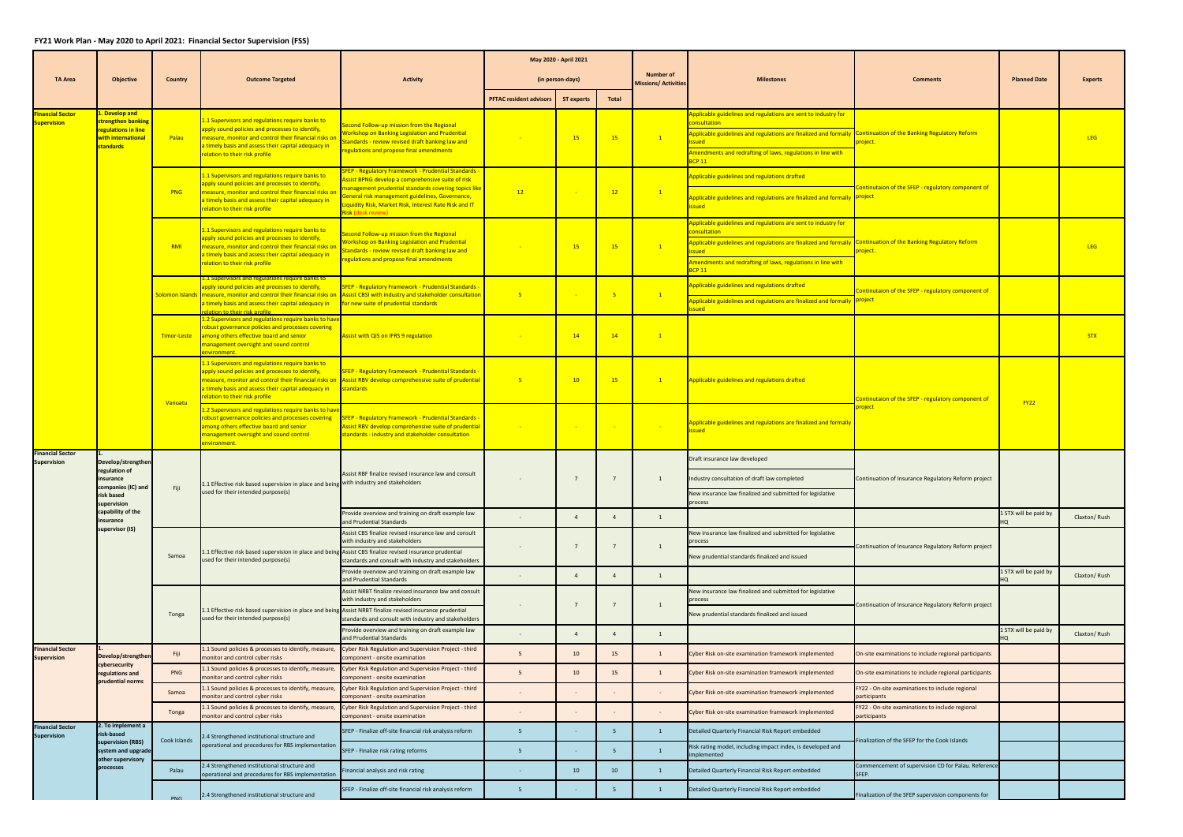## **FY21 Work Plan ‐ May 2020 to April 2021: Financial Sector Supervision (FSS)**

|                                               |                                                                                                   |                |                                                                                                                                                                                                                                                                        |                                                                                                                                                                                                                                                                                                              |                                | May 2020 - April 2021 |                                          |                   |                                                                                                                                                                                                                                                                          |                                                                 |                       |              |
|-----------------------------------------------|---------------------------------------------------------------------------------------------------|----------------|------------------------------------------------------------------------------------------------------------------------------------------------------------------------------------------------------------------------------------------------------------------------|--------------------------------------------------------------------------------------------------------------------------------------------------------------------------------------------------------------------------------------------------------------------------------------------------------------|--------------------------------|-----------------------|------------------------------------------|-------------------|--------------------------------------------------------------------------------------------------------------------------------------------------------------------------------------------------------------------------------------------------------------------------|-----------------------------------------------------------------|-----------------------|--------------|
| <b>TA Area</b>                                | <b>Objective</b>                                                                                  | <b>Country</b> | <b>Outcome Targeted</b>                                                                                                                                                                                                                                                | <b>Activity</b>                                                                                                                                                                                                                                                                                              | (in person-days)               |                       | Number of<br><b>Missions/ Activities</b> | <b>Milestones</b> | <b>Comments</b>                                                                                                                                                                                                                                                          | <b>Planned Date</b>                                             | <b>Experts</b>        |              |
|                                               |                                                                                                   |                |                                                                                                                                                                                                                                                                        |                                                                                                                                                                                                                                                                                                              | <b>PFTAC resident advisors</b> | <b>ST experts</b>     | Total                                    |                   |                                                                                                                                                                                                                                                                          |                                                                 |                       |              |
| <b>inancial Sector</b><br><b>Supervision</b>  | l. Develop and<br>strengthen banking<br>regulations in line<br>with international<br>standards    | Palau          | 1.1 Supervisors and regulations require banks to<br>apply sound policies and processes to identify,<br>measure, monitor and control their financial risks on<br>a timely basis and assess their capital adequacy in<br>elation to their risk profile                   | econd Follow-up mission from the Regional<br><b>Vorkshop on Banking Legislation and Prudential</b><br>tandards - review revised draft banking law and<br>egulations and propose final amendments                                                                                                             |                                | 15                    | 15                                       | $\mathbf{1}$      | pplicable guidelines and regulations are sent to industry for<br>onsultation<br>Applicable guidelines and regulations are finalized and formally Continuation of the Banking Regulatory Reform<br>Amendments and redrafting of laws, regulations in line with<br>CP 11   | project.                                                        |                       | <b>LEG</b>   |
|                                               |                                                                                                   | <b>PNG</b>     | 1.1 Supervisors and regulations require banks to<br>apply sound policies and processes to identify,<br>measure, monitor and control their financial risks on<br>a timely basis and assess their capital adequacy in<br>elation to their risk profile                   | FEP - Regulatory Framework - Prudential Standards -<br>ssist BPNG develop a comprehensive suite of risk<br>nanagement prudential standards covering topics like<br>eneral risk management guidelines, Governance,<br>iquidity Risk, Market Risk, Interest Rate Risk and IT<br><mark>isk (desk review)</mark> | 12                             |                       | 12                                       | $\sqrt{1}$        | Applicable guidelines and regulations drafted<br>Applicable guidelines and regulations are finalized and formally project<br>ssued                                                                                                                                       | Continutaion of the SFEP - regulatory component of              |                       |              |
|                                               |                                                                                                   | <b>RMI</b>     | 1.1 Supervisors and regulations require banks to<br>apply sound policies and processes to identify,<br>measure, monitor and control their financial risks on<br>a timely basis and assess their capital adequacy in<br>elation to their risk profile                   | econd Follow-up mission from the Regional<br><b>Vorkshop on Banking Legislation and Prudential</b><br>tandards - review revised draft banking law and<br>egulations and propose final amendments                                                                                                             |                                | 15                    | 15                                       | $\sqrt{1}$        | Applicable guidelines and regulations are sent to industry for<br>consultation<br>Applicable guidelines and regulations are finalized and formally Continuation of the Banking Regulatory Reform<br>Amendments and redrafting of laws, regulations in line with<br>CP 11 | <mark>project.</mark>                                           |                       | <b>LEG</b>   |
|                                               |                                                                                                   |                | 1.1 Supervisors and regulations require banks to<br>apply sound policies and processes to identify,<br>Solomon Islands   measure, monitor and control their financial risks on<br>a timely basis and assess their capital adequacy in<br>elation to their risk profile | FEP - Regulatory Framework - Prudential Standards<br>Assist CBSI with industry and stakeholder consultation<br>for new suite of prudential standards                                                                                                                                                         | $-5$                           |                       |                                          | $\mathbf{1}$      | Applicable guidelines and regulations drafted<br>Applicable guidelines and regulations are finalized and formally project                                                                                                                                                | Continutaion of the SFEP - regulatory component of              |                       |              |
|                                               |                                                                                                   | Timor-Leste    | 1.2 Supervisors and regulations require banks to hav<br>robust governance policies and processes covering<br>among others effective board and senior<br>management oversight and sound control<br>nvironment.                                                          | Assist with QIS on IFRS 9 regulation                                                                                                                                                                                                                                                                         |                                | 14                    | 14                                       | $\mathbf{1}$      |                                                                                                                                                                                                                                                                          |                                                                 |                       | <b>STX</b>   |
|                                               |                                                                                                   | <b>Vanuatu</b> | 1.1 Supervisors and regulations require banks to<br>apply sound policies and processes to identify,<br>a timely basis and assess their capital adequacy in<br>elation to their risk profile                                                                            | <b>FEP - Regulatory Framework - Prudential Standards -</b><br>measure, monitor and control their financial risks on Assist RBV develop comprehensive suite of prudential<br>tandards                                                                                                                         | $-5$                           | 10                    | 15                                       | $\mathbf{1}$      | Applicable guidelines and regulations drafted                                                                                                                                                                                                                            | Continutaion of the SFEP - regulatory component of              | <b>FY22</b>           |              |
|                                               |                                                                                                   |                | 1.2 Supervisors and regulations require banks to hav<br>robust governance policies and processes covering<br>among others effective board and senior<br>management oversight and sound control<br>nvironment.                                                          | SFEP - Regulatory Framework - Prudential Standards -<br>ssist RBV develop comprehensive suite of prudential<br>standards - industry and stakeholder consultation                                                                                                                                             |                                | $\sim 100$            | <b>Contract</b>                          | <b>Contract</b>   | Applicable guidelines and regulations are finalized and formally<br>sued                                                                                                                                                                                                 | <mark>project</mark>                                            |                       |              |
| <b>Financial Sector</b><br><b>Supervision</b> | Develop/strengthen<br>regulation of<br>nsurance<br>companies (IC) and<br>isk based<br>supervision | Fiji           | 1.1 Effective risk based supervision in place and being with industry and stakeholders<br>used for their intended purpose(s)                                                                                                                                           | Assist RBF finalize revised insurance law and consult                                                                                                                                                                                                                                                        |                                |                       |                                          |                   | Draft insurance law developed<br>Industry consultation of draft law completed<br>New insurance law finalized and submitted for legislative<br>process                                                                                                                    | Continuation of Insurance Regulatory Reform project             |                       |              |
|                                               | capability of the<br>insurance                                                                    |                |                                                                                                                                                                                                                                                                        | rovide overview and training on draft example law<br>nd Prudential Standards                                                                                                                                                                                                                                 | ÷                              | $\overline{4}$        | $\Delta$                                 | $\mathbf{1}$      |                                                                                                                                                                                                                                                                          |                                                                 | 1 STX will be paid by | Claxton/Rush |
|                                               | supervisor (IS)                                                                                   | Samoa          | 1 Effective risk based supervision in place and being Assist CBS finalize revised insurance prudential.<br>used for their intended purpose(s)                                                                                                                          | Assist CBS finalize revised insurance law and consult<br>with industry and stakeholders<br>standards and consult with industry and stakeholders                                                                                                                                                              |                                | $\overline{7}$        |                                          | 1                 | New insurance law finalized and submitted for legislative<br>process<br>New prudential standards finalized and issued                                                                                                                                                    | Continuation of Insurance Regulatory Reform project             |                       |              |
|                                               |                                                                                                   |                |                                                                                                                                                                                                                                                                        | Provide overview and training on draft example law<br>and Prudential Standards                                                                                                                                                                                                                               |                                | $\overline{4}$        | $\Delta$                                 | 1                 |                                                                                                                                                                                                                                                                          |                                                                 | 1 STX will be paid by | Claxton/Rush |
|                                               |                                                                                                   | Tonga          | .1 Effective risk based supervision in place and being Assist NRBT finalize revised insurance prudential<br>used for their intended purpose(s)                                                                                                                         | Assist NRBT finalize revised insurance law and consult<br>with industry and stakeholders<br>standards and consult with industry and stakeholders                                                                                                                                                             |                                | $\overline{7}$        |                                          | 1                 | New insurance law finalized and submitted for legislative<br>process<br>New prudential standards finalized and issued                                                                                                                                                    | Continuation of Insurance Regulatory Reform project             |                       |              |
|                                               |                                                                                                   |                |                                                                                                                                                                                                                                                                        | Provide overview and training on draft example law<br>and Prudential Standards                                                                                                                                                                                                                               |                                | $\overline{4}$        |                                          | 1                 |                                                                                                                                                                                                                                                                          |                                                                 | I STX will be paid by | Claxton/Rush |
| <b>Financial Sector</b><br><b>Supervision</b> | Develop/strengthen                                                                                | Fiji           | 1.1 Sound policies & processes to identify, measure,<br>monitor and control cyber risks                                                                                                                                                                                | Cyber Risk Regulation and Supervision Project - third<br>component - onsite examination                                                                                                                                                                                                                      | 5                              | 10                    | 15                                       | 1                 | Cyber Risk on-site examination framework implemented                                                                                                                                                                                                                     | On-site examinations to include regional participants           |                       |              |
|                                               | cybersecurity<br>regulations and<br>prudential norms                                              | PNG            | 1.1 Sound policies & processes to identify, measure,<br>monitor and control cyber risks                                                                                                                                                                                | Cyber Risk Regulation and Supervision Project - third<br>component - onsite examination                                                                                                                                                                                                                      | 5                              | 10                    | 15                                       | 1                 | Cyber Risk on-site examination framework implemented                                                                                                                                                                                                                     | On-site examinations to include regional participants           |                       |              |
|                                               |                                                                                                   | Samoa          | 1.1 Sound policies & processes to identify, measure,<br>monitor and control cyber risks                                                                                                                                                                                | Cyber Risk Regulation and Supervision Project - third<br>component - onsite examination                                                                                                                                                                                                                      |                                |                       |                                          |                   | Cyber Risk on-site examination framework implemented                                                                                                                                                                                                                     | FY22 - On-site examinations to include regional<br>participants |                       |              |
|                                               |                                                                                                   | Tonga          | 1 Sound policies & processes to identify, measure,<br>nonitor and control cyber risks                                                                                                                                                                                  | Cyber Risk Regulation and Supervision Project - third<br>component - onsite examination                                                                                                                                                                                                                      |                                |                       |                                          |                   | Cyber Risk on-site examination framework implemented                                                                                                                                                                                                                     | FY22 - On-site examinations to include regional<br>participants |                       |              |
| <b>Financial Sector</b><br><b>Supervision</b> | 2. To implement a<br>risk-based                                                                   | Cook Islands   | .4 Strengthened institutional structure and<br>operational and procedures for RBS implementation                                                                                                                                                                       | SFEP - Finalize off-site financial risk analysis reform                                                                                                                                                                                                                                                      | 5                              |                       | 5                                        | $\mathbf{1}$      | Detailed Quarterly Financial Risk Report embedded                                                                                                                                                                                                                        | inalization of the SFEP for the Cook Islands                    |                       |              |
|                                               | supervision (RBS)<br>system and upgrade<br>other supervisory                                      |                |                                                                                                                                                                                                                                                                        | SFEP - Finalize risk rating reforms                                                                                                                                                                                                                                                                          | - 5                            | $\sim$                | $\overline{5}$                           | $\mathbf{1}$      | Risk rating model, including impact index, is developed and<br>implemented                                                                                                                                                                                               |                                                                 |                       |              |
|                                               | processes                                                                                         | Palau          | .4 Strengthened institutional structure and<br>operational and procedures for RBS implementation                                                                                                                                                                       | inancial analysis and risk rating                                                                                                                                                                                                                                                                            | $\sim$                         | 10                    | $10-10$                                  | $\mathbf{1}$      | Detailed Quarterly Financial Risk Report embedded                                                                                                                                                                                                                        | Commencement of supervision CD for Palau. Reference<br>SFEP.    |                       |              |
|                                               |                                                                                                   | <b>PNG</b>     | 2.4 Strengthened institutional structure and                                                                                                                                                                                                                           | SFEP - Finalize off-site financial risk analysis reform                                                                                                                                                                                                                                                      | -5                             |                       |                                          | $\mathbf{1}$      | Detailed Quarterly Financial Risk Report embedded                                                                                                                                                                                                                        | Finalization of the SFEP supervision components for             |                       |              |